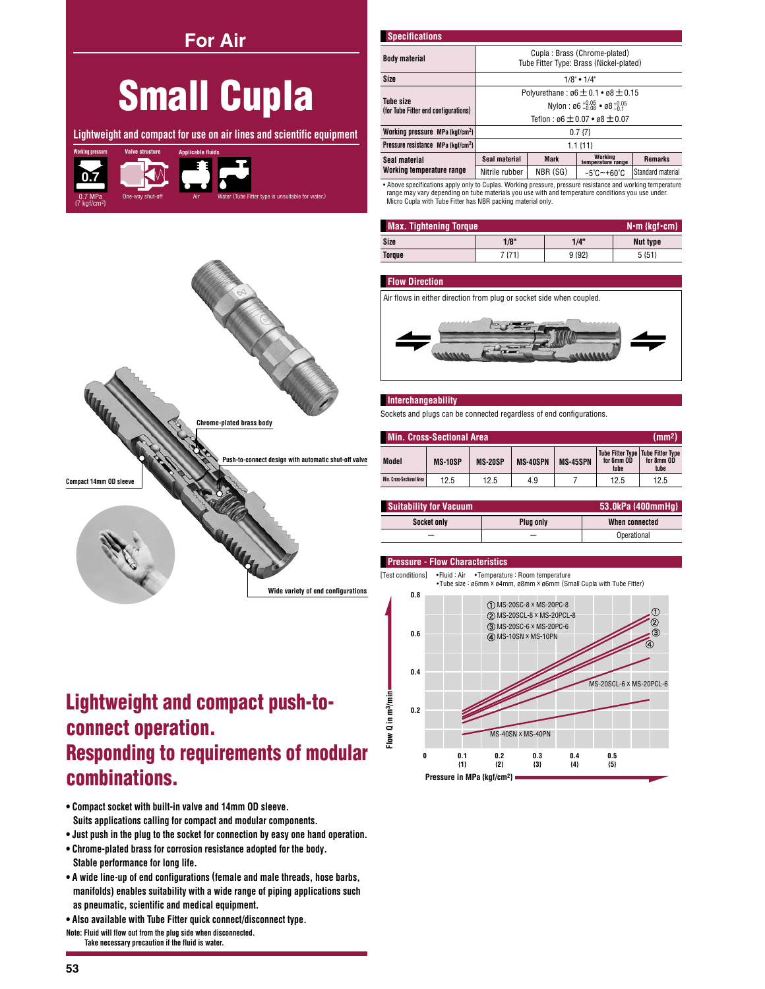**For Air** 

# **Small Cupla**

Lightweight and compact for use on air lines and scientific equipment





## **Lightweight and compact push-to**connect operation. **Responding to requirements of modular** combinations.

- . Compact socket with built-in valve and 14mm OD sleeve. Suits applications calling for compact and modular components.
- . Just push in the plug to the socket for connection by easy one hand operation.
- . Chrome-plated brass for corrosion resistance adopted for the body. Stable performance for long life.
- A wide line-up of end configurations (female and male threads, hose barbs, manifolds) enables suitability with a wide range of piping applications such as pneumatic, scientific and medical equipment.
- . Also available with Tube Fitter quick connect/disconnect type.
- Note: Fluid will flow out from the plug side when disconnected.<br>Take necessary precaution if the fluid is water.

| <b>Specifications</b>                                                                                      |                                                                         |             |                                 |                   |
|------------------------------------------------------------------------------------------------------------|-------------------------------------------------------------------------|-------------|---------------------------------|-------------------|
| <b>Body material</b>                                                                                       | Cupla: Brass (Chrome-plated)<br>Tube Fitter Type: Brass (Nickel-plated) |             |                                 |                   |
| <b>Size</b>                                                                                                | $1/8$ " • $1/4$ "                                                       |             |                                 |                   |
|                                                                                                            | Polyurethane: $\varnothing6 \pm 0.1 \cdot \varnothing8 \pm 0.15$        |             |                                 |                   |
| <b>Tube size</b><br>(for Tube Fitter end configurations)                                                   | Nylon: $\emptyset$ 6 + 0.05 • $\emptyset$ 8 + 0.05                      |             |                                 |                   |
|                                                                                                            | Teflon: $66 \pm 0.07 \cdot 68 \pm 0.07$                                 |             |                                 |                   |
| Working pressure MPa {kgf/cm <sup>2}</sup>                                                                 | 0.7 <sub>17</sub>                                                       |             |                                 |                   |
| Pressure resistance MPa {kaf/cm <sup>2}</sup>                                                              | $1.1$ $\{11\}$                                                          |             |                                 |                   |
| Seal material                                                                                              | Seal material                                                           | <b>Mark</b> | Working<br>temperature range    | <b>Remarks</b>    |
| Working temperature range                                                                                  | Nitrile rubber                                                          | NBR (SG)    | $-5^{\circ}$ C $-+60^{\circ}$ C | Standard material |
| • Above specifications apply only to Cuplas, Working pressure, pressure resistance and working temperature |                                                                         |             |                                 |                   |

Above specincations apply only to Cuplas. working pressure, pressure resistance and working temper.<br>range may vary depending on tube materials you use with and temperature conditions you use under.<br>Micro Cupla with Tube Fi

| <b>Max. Tightening Torque</b><br>$N \cdot m$ {kgf $\cdot$ cm} |        |                  |          |  |
|---------------------------------------------------------------|--------|------------------|----------|--|
| Size                                                          | 1/8"   | 1/4"             | Nut type |  |
| Torque                                                        | 7 {71} | 9 <sub>192</sub> | $5 {51}$ |  |

#### **Flow Direction**

Air flows in either direction from plug or socket side when coupled.



#### Interchangeability

Sockets and plugs can be connected regardless of end configurations.

| <b>Min. Cross-Sectional Area</b> |         |         |                 |                 | (mm <sup>2</sup> )                                        |                    |
|----------------------------------|---------|---------|-----------------|-----------------|-----------------------------------------------------------|--------------------|
| <b>Model</b>                     | MS-10SP | MS-20SP | <b>MS-40SPN</b> | <b>MS-45SPN</b> | Tube Fitter Type   Tube Fitter Type<br>for 6mm OD<br>tube | for 8mm OD<br>tube |
| Min. Cross-Sectional Area        | 12.5    | 12.5    | 4.9             |                 | 12.5                                                      | 12.5               |

| <b>Suitability for Vacuum</b> |           | 53.0kPa {400mmHq} |
|-------------------------------|-----------|-------------------|
| <b>Socket only</b>            | Plua only | When connected    |
|                               |           | Operational       |

### **Pressure - Flow Characteristics**

[Test conditions] •Fluid : Air •Temperature : Room temperature<br>•Tube size : ø6mm × ø4mm, ø8mm × ø6mm (Small Cupla with Tube Fitter)